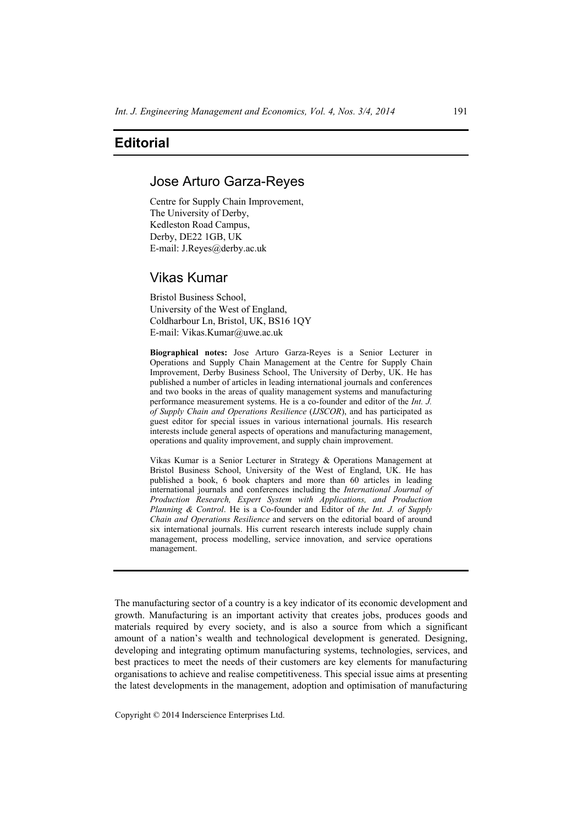## **Editorial**

## Jose Arturo Garza-Reyes

Centre for Supply Chain Improvement, The University of Derby, Kedleston Road Campus, Derby, DE22 1GB, UK E-mail: J.Reyes@derby.ac.uk

# Vikas Kumar

Bristol Business School, University of the West of England, Coldharbour Ln, Bristol, UK, BS16 1QY E-mail: Vikas.Kumar@uwe.ac.uk

**Biographical notes:** Jose Arturo Garza-Reyes is a Senior Lecturer in Operations and Supply Chain Management at the Centre for Supply Chain Improvement, Derby Business School, The University of Derby, UK. He has published a number of articles in leading international journals and conferences and two books in the areas of quality management systems and manufacturing performance measurement systems. He is a co-founder and editor of the *Int. J. of Supply Chain and Operations Resilience* (*IJSCOR*), and has participated as guest editor for special issues in various international journals. His research interests include general aspects of operations and manufacturing management, operations and quality improvement, and supply chain improvement.

Vikas Kumar is a Senior Lecturer in Strategy & Operations Management at Bristol Business School, University of the West of England, UK. He has published a book, 6 book chapters and more than 60 articles in leading international journals and conferences including the *International Journal of Production Research, Expert System with Applications, and Production Planning & Control*. He is a Co-founder and Editor of *the Int. J. of Supply Chain and Operations Resilience* and servers on the editorial board of around six international journals. His current research interests include supply chain management, process modelling, service innovation, and service operations management.

The manufacturing sector of a country is a key indicator of its economic development and growth. Manufacturing is an important activity that creates jobs, produces goods and materials required by every society, and is also a source from which a significant amount of a nation's wealth and technological development is generated. Designing, developing and integrating optimum manufacturing systems, technologies, services, and best practices to meet the needs of their customers are key elements for manufacturing organisations to achieve and realise competitiveness. This special issue aims at presenting the latest developments in the management, adoption and optimisation of manufacturing

Copyright © 2014 Inderscience Enterprises Ltd.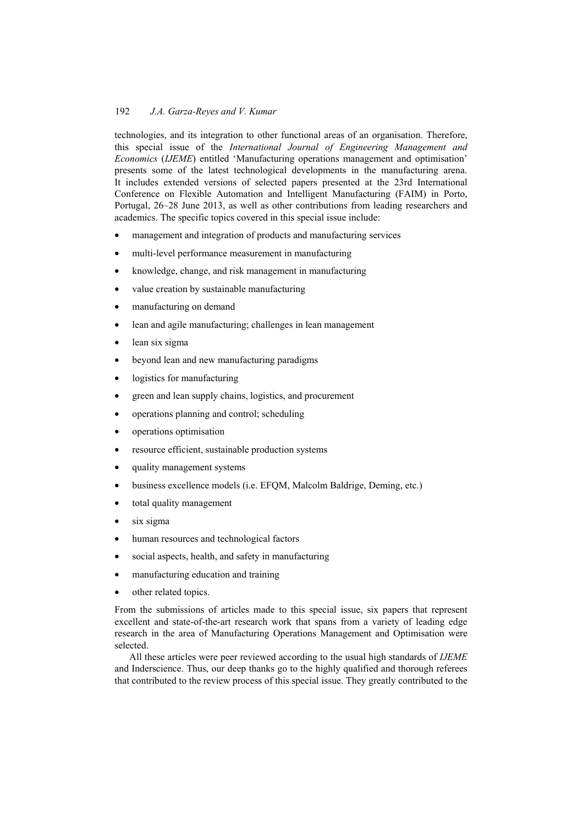### 192 *J.A. Garza-Reyes and V. Kumar*

technologies, and its integration to other functional areas of an organisation. Therefore, this special issue of the *International Journal of Engineering Management and Economics* (*IJEME*) entitled 'Manufacturing operations management and optimisation' presents some of the latest technological developments in the manufacturing arena. It includes extended versions of selected papers presented at the 23rd International Conference on Flexible Automation and Intelligent Manufacturing (FAIM) in Porto, Portugal, 26–28 June 2013, as well as other contributions from leading researchers and academics. The specific topics covered in this special issue include:

- management and integration of products and manufacturing services
- multi-level performance measurement in manufacturing
- knowledge, change, and risk management in manufacturing
- value creation by sustainable manufacturing
- manufacturing on demand
- lean and agile manufacturing; challenges in lean management
- lean six sigma
- beyond lean and new manufacturing paradigms
- logistics for manufacturing
- green and lean supply chains, logistics, and procurement
- operations planning and control; scheduling
- operations optimisation
- resource efficient, sustainable production systems
- quality management systems
- business excellence models (i.e. EFQM, Malcolm Baldrige, Deming, etc.)
- total quality management
- six sigma
- human resources and technological factors
- social aspects, health, and safety in manufacturing
- manufacturing education and training
- other related topics.

From the submissions of articles made to this special issue, six papers that represent excellent and state-of-the-art research work that spans from a variety of leading edge research in the area of Manufacturing Operations Management and Optimisation were selected.

All these articles were peer reviewed according to the usual high standards of *IJEME* and Inderscience. Thus, our deep thanks go to the highly qualified and thorough referees that contributed to the review process of this special issue. They greatly contributed to the